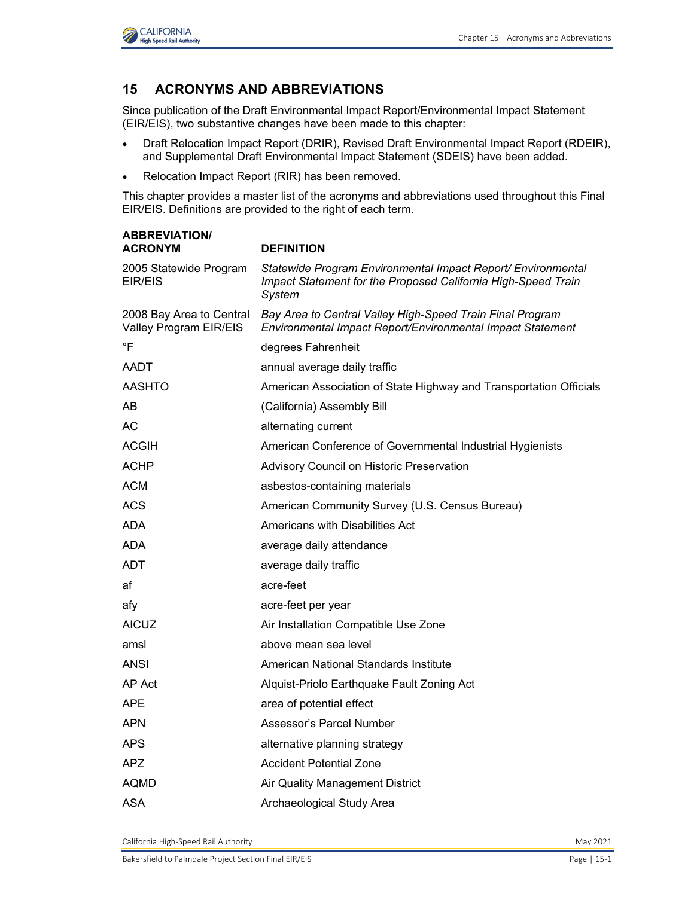

## **15 ACRONYMS AND ABBREVIATIONS**

Since publication of the Draft Environmental Impact Report/Environmental Impact Statement (EIR/EIS), two substantive changes have been made to this chapter:

- Draft Relocation Impact Report (DRIR), Revised Draft Environmental Impact Report (RDEIR), and Supplemental Draft Environmental Impact Statement (SDEIS) have been added.
- Relocation Impact Report (RIR) has been removed.

This chapter provides a master list of the acronyms and abbreviations used throughout this Final EIR/EIS. Definitions are provided to the right of each term.

| <b>ABBREVIATION</b>                                |                                                                                                                                         |
|----------------------------------------------------|-----------------------------------------------------------------------------------------------------------------------------------------|
| <b>ACRONYM</b>                                     | <b>DEFINITION</b>                                                                                                                       |
| 2005 Statewide Program<br>EIR/EIS                  | Statewide Program Environmental Impact Report/ Environmental<br>Impact Statement for the Proposed California High-Speed Train<br>System |
| 2008 Bay Area to Central<br>Valley Program EIR/EIS | Bay Area to Central Valley High-Speed Train Final Program<br>Environmental Impact Report/Environmental Impact Statement                 |
| $\overline{F}$                                     | degrees Fahrenheit                                                                                                                      |
| AADT                                               | annual average daily traffic                                                                                                            |
| <b>AASHTO</b>                                      | American Association of State Highway and Transportation Officials                                                                      |
| AB                                                 | (California) Assembly Bill                                                                                                              |
| <b>AC</b>                                          | alternating current                                                                                                                     |
| <b>ACGIH</b>                                       | American Conference of Governmental Industrial Hygienists                                                                               |
| <b>ACHP</b>                                        | Advisory Council on Historic Preservation                                                                                               |
| <b>ACM</b>                                         | asbestos-containing materials                                                                                                           |
| <b>ACS</b>                                         | American Community Survey (U.S. Census Bureau)                                                                                          |
| ADA                                                | Americans with Disabilities Act                                                                                                         |
| <b>ADA</b>                                         | average daily attendance                                                                                                                |
| ADT                                                | average daily traffic                                                                                                                   |
| af                                                 | acre-feet                                                                                                                               |
| afy                                                | acre-feet per year                                                                                                                      |
| <b>AICUZ</b>                                       | Air Installation Compatible Use Zone                                                                                                    |
| amsl                                               | above mean sea level                                                                                                                    |
| <b>ANSI</b>                                        | American National Standards Institute                                                                                                   |
| AP Act                                             | Alquist-Priolo Earthquake Fault Zoning Act                                                                                              |
| <b>APE</b>                                         | area of potential effect                                                                                                                |
| <b>APN</b>                                         | Assessor's Parcel Number                                                                                                                |
| <b>APS</b>                                         | alternative planning strategy                                                                                                           |
| <b>APZ</b>                                         | <b>Accident Potential Zone</b>                                                                                                          |
| <b>AQMD</b>                                        | Air Quality Management District                                                                                                         |
| ASA                                                | Archaeological Study Area                                                                                                               |

California High-Speed Rail Authority May 2021 **May 2021**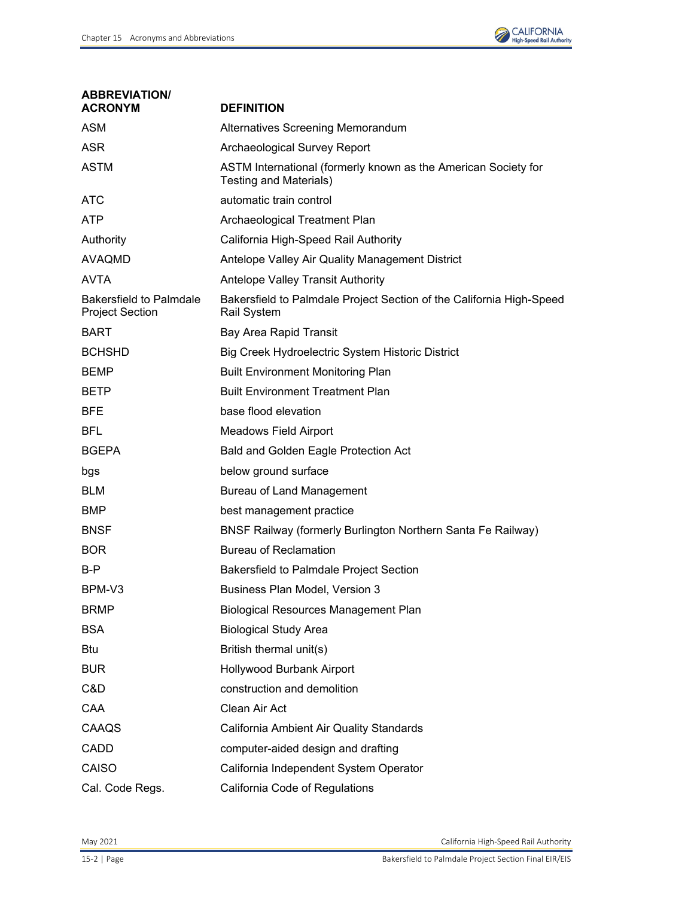

| <b>ABBREVIATION/</b><br><b>ACRONYM</b>            | <b>DEFINITION</b>                                                                        |
|---------------------------------------------------|------------------------------------------------------------------------------------------|
| <b>ASM</b>                                        | Alternatives Screening Memorandum                                                        |
| <b>ASR</b>                                        | Archaeological Survey Report                                                             |
| <b>ASTM</b>                                       | ASTM International (formerly known as the American Society for<br>Testing and Materials) |
| <b>ATC</b>                                        | automatic train control                                                                  |
| <b>ATP</b>                                        | Archaeological Treatment Plan                                                            |
| Authority                                         | California High-Speed Rail Authority                                                     |
| <b>AVAQMD</b>                                     | Antelope Valley Air Quality Management District                                          |
| <b>AVTA</b>                                       | Antelope Valley Transit Authority                                                        |
| Bakersfield to Palmdale<br><b>Project Section</b> | Bakersfield to Palmdale Project Section of the California High-Speed<br>Rail System      |
| <b>BART</b>                                       | <b>Bay Area Rapid Transit</b>                                                            |
| <b>BCHSHD</b>                                     | Big Creek Hydroelectric System Historic District                                         |
| <b>BEMP</b>                                       | <b>Built Environment Monitoring Plan</b>                                                 |
| <b>BETP</b>                                       | <b>Built Environment Treatment Plan</b>                                                  |
| <b>BFE</b>                                        | base flood elevation                                                                     |
| <b>BFL</b>                                        | <b>Meadows Field Airport</b>                                                             |
| <b>BGEPA</b>                                      | Bald and Golden Eagle Protection Act                                                     |
| bgs                                               | below ground surface                                                                     |
| <b>BLM</b>                                        | <b>Bureau of Land Management</b>                                                         |
| <b>BMP</b>                                        | best management practice                                                                 |
| <b>BNSF</b>                                       | BNSF Railway (formerly Burlington Northern Santa Fe Railway)                             |
| <b>BOR</b>                                        | <b>Bureau of Reclamation</b>                                                             |
| B-P                                               | Bakersfield to Palmdale Project Section                                                  |
| BPM-V3                                            | <b>Business Plan Model, Version 3</b>                                                    |
| <b>BRMP</b>                                       | <b>Biological Resources Management Plan</b>                                              |
| <b>BSA</b>                                        | <b>Biological Study Area</b>                                                             |
| <b>Btu</b>                                        | British thermal unit(s)                                                                  |
| <b>BUR</b>                                        | Hollywood Burbank Airport                                                                |
| C&D                                               | construction and demolition                                                              |
| CAA                                               | Clean Air Act                                                                            |
| CAAQS                                             | California Ambient Air Quality Standards                                                 |
| <b>CADD</b>                                       | computer-aided design and drafting                                                       |
| CAISO                                             | California Independent System Operator                                                   |
| Cal. Code Regs.                                   | California Code of Regulations                                                           |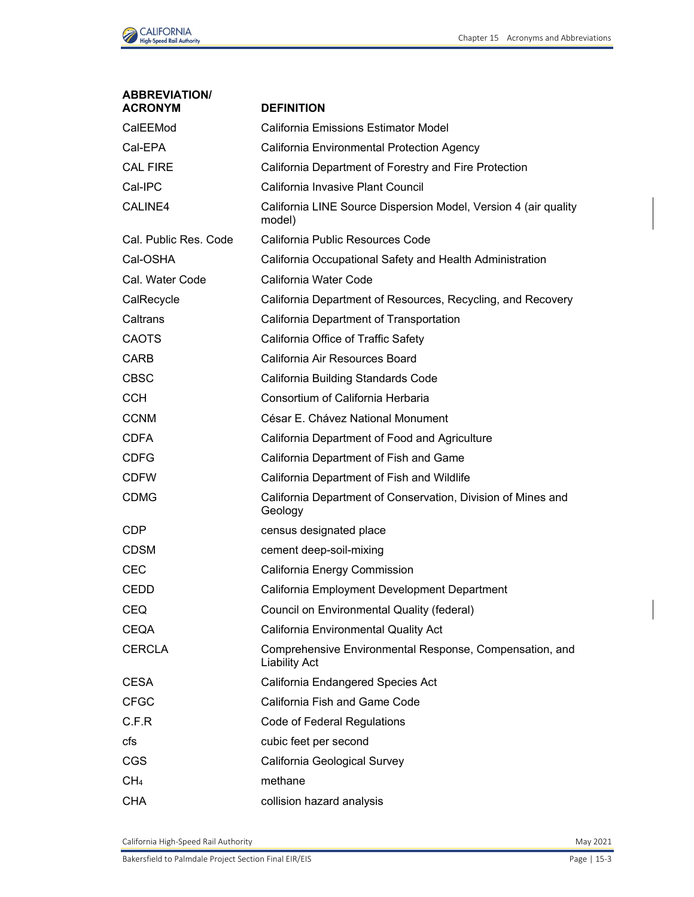

| <b>ABBREVIATION/</b><br><b>ACRONYM</b> | <b>DEFINITION</b>                                                               |
|----------------------------------------|---------------------------------------------------------------------------------|
| CalEEMod                               | California Emissions Estimator Model                                            |
| Cal-EPA                                | California Environmental Protection Agency                                      |
| CAL FIRE                               | California Department of Forestry and Fire Protection                           |
| Cal-IPC                                | California Invasive Plant Council                                               |
| CALINE4                                | California LINE Source Dispersion Model, Version 4 (air quality<br>model)       |
| Cal. Public Res. Code                  | California Public Resources Code                                                |
| Cal-OSHA                               | California Occupational Safety and Health Administration                        |
| Cal. Water Code                        | California Water Code                                                           |
| CalRecycle                             | California Department of Resources, Recycling, and Recovery                     |
| Caltrans                               | California Department of Transportation                                         |
| <b>CAOTS</b>                           | California Office of Traffic Safety                                             |
| <b>CARB</b>                            | California Air Resources Board                                                  |
| <b>CBSC</b>                            | California Building Standards Code                                              |
| <b>CCH</b>                             | Consortium of California Herbaria                                               |
| <b>CCNM</b>                            | César E. Chávez National Monument                                               |
| <b>CDFA</b>                            | California Department of Food and Agriculture                                   |
| <b>CDFG</b>                            | California Department of Fish and Game                                          |
| <b>CDFW</b>                            | California Department of Fish and Wildlife                                      |
| <b>CDMG</b>                            | California Department of Conservation, Division of Mines and<br>Geology         |
| <b>CDP</b>                             | census designated place                                                         |
| <b>CDSM</b>                            | cement deep-soil-mixing                                                         |
| <b>CEC</b>                             | California Energy Commission                                                    |
| CEDD                                   | California Employment Development Department                                    |
| <b>CEQ</b>                             | Council on Environmental Quality (federal)                                      |
| <b>CEQA</b>                            | California Environmental Quality Act                                            |
| <b>CERCLA</b>                          | Comprehensive Environmental Response, Compensation, and<br><b>Liability Act</b> |
| <b>CESA</b>                            | California Endangered Species Act                                               |
| <b>CFGC</b>                            | California Fish and Game Code                                                   |
| C.F.R                                  | Code of Federal Regulations                                                     |
| cfs                                    | cubic feet per second                                                           |
| <b>CGS</b>                             | California Geological Survey                                                    |
| CH <sub>4</sub>                        | methane                                                                         |
| <b>CHA</b>                             | collision hazard analysis                                                       |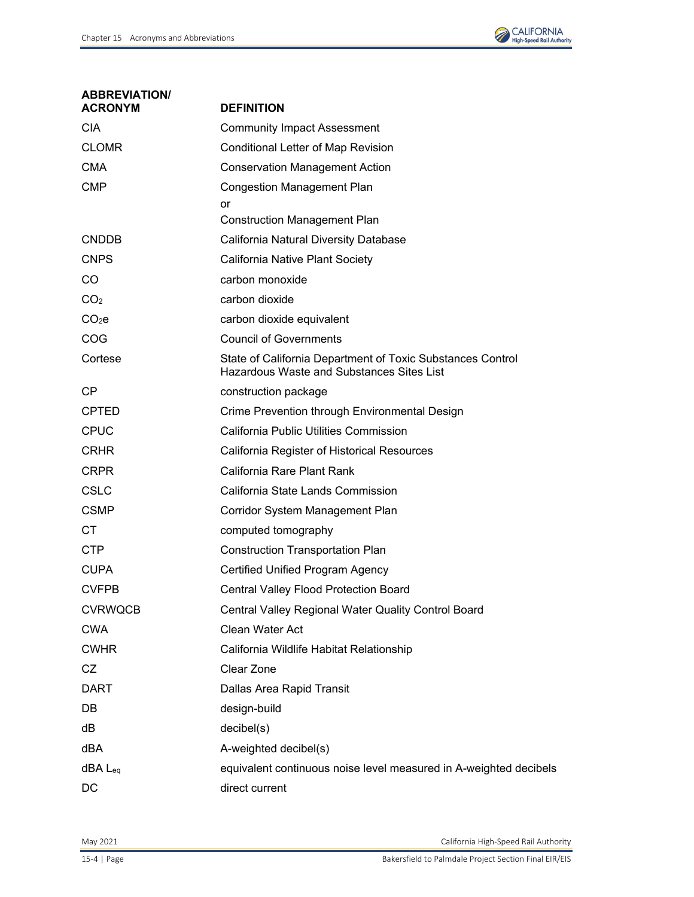

| <b>ABBREVIATION/</b><br><b>ACRONYM</b> | <b>DEFINITION</b>                                                                                       |
|----------------------------------------|---------------------------------------------------------------------------------------------------------|
| <b>CIA</b>                             | <b>Community Impact Assessment</b>                                                                      |
| <b>CLOMR</b>                           | Conditional Letter of Map Revision                                                                      |
| <b>CMA</b>                             | <b>Conservation Management Action</b>                                                                   |
| <b>CMP</b>                             | <b>Congestion Management Plan</b>                                                                       |
|                                        | or                                                                                                      |
|                                        | <b>Construction Management Plan</b>                                                                     |
| <b>CNDDB</b>                           | California Natural Diversity Database                                                                   |
| <b>CNPS</b>                            | California Native Plant Society                                                                         |
| CO                                     | carbon monoxide                                                                                         |
| CO <sub>2</sub>                        | carbon dioxide                                                                                          |
| CO <sub>2</sub> e                      | carbon dioxide equivalent                                                                               |
| COG                                    | <b>Council of Governments</b>                                                                           |
| Cortese                                | State of California Department of Toxic Substances Control<br>Hazardous Waste and Substances Sites List |
| CP                                     | construction package                                                                                    |
| <b>CPTED</b>                           | Crime Prevention through Environmental Design                                                           |
| <b>CPUC</b>                            | California Public Utilities Commission                                                                  |
| <b>CRHR</b>                            | California Register of Historical Resources                                                             |
| <b>CRPR</b>                            | California Rare Plant Rank                                                                              |
| <b>CSLC</b>                            | California State Lands Commission                                                                       |
| <b>CSMP</b>                            | Corridor System Management Plan                                                                         |
| CT.                                    | computed tomography                                                                                     |
| <b>CTP</b>                             | <b>Construction Transportation Plan</b>                                                                 |
| <b>CUPA</b>                            | <b>Certified Unified Program Agency</b>                                                                 |
| <b>CVFPB</b>                           | Central Valley Flood Protection Board                                                                   |
| <b>CVRWQCB</b>                         | Central Valley Regional Water Quality Control Board                                                     |
| <b>CWA</b>                             | Clean Water Act                                                                                         |
| <b>CWHR</b>                            | California Wildlife Habitat Relationship                                                                |
| CZ                                     | Clear Zone                                                                                              |
| <b>DART</b>                            | Dallas Area Rapid Transit                                                                               |
| DB                                     | design-build                                                                                            |
| dB                                     | decibel(s)                                                                                              |
| dBA                                    | A-weighted decibel(s)                                                                                   |
| $dBA$ $L_{eq}$                         | equivalent continuous noise level measured in A-weighted decibels                                       |
| DC                                     | direct current                                                                                          |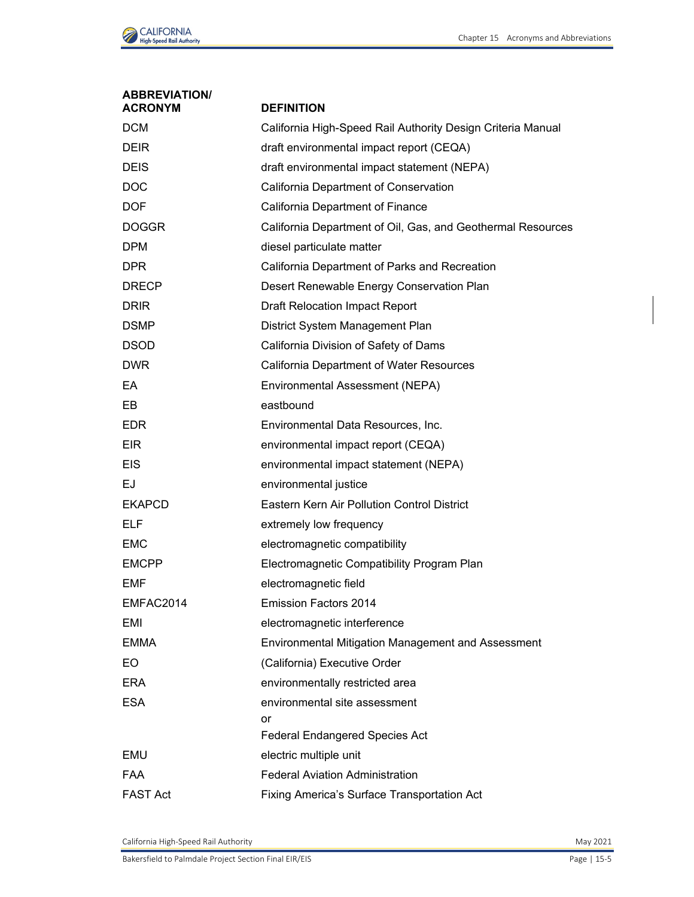

| <b>ABBREVIATION/</b><br><b>ACRONYM</b> | <b>DEFINITION</b>                                           |
|----------------------------------------|-------------------------------------------------------------|
| <b>DCM</b>                             | California High-Speed Rail Authority Design Criteria Manual |
| <b>DEIR</b>                            | draft environmental impact report (CEQA)                    |
| <b>DEIS</b>                            | draft environmental impact statement (NEPA)                 |
| <b>DOC</b>                             | California Department of Conservation                       |
| <b>DOF</b>                             | California Department of Finance                            |
| <b>DOGGR</b>                           | California Department of Oil, Gas, and Geothermal Resources |
| <b>DPM</b>                             | diesel particulate matter                                   |
| DPR                                    | California Department of Parks and Recreation               |
| <b>DRECP</b>                           | Desert Renewable Energy Conservation Plan                   |
| <b>DRIR</b>                            | <b>Draft Relocation Impact Report</b>                       |
| <b>DSMP</b>                            | District System Management Plan                             |
| <b>DSOD</b>                            | California Division of Safety of Dams                       |
| <b>DWR</b>                             | California Department of Water Resources                    |
| EA                                     | Environmental Assessment (NEPA)                             |
| EB.                                    | eastbound                                                   |
| <b>EDR</b>                             | Environmental Data Resources, Inc.                          |
| <b>EIR</b>                             | environmental impact report (CEQA)                          |
| <b>EIS</b>                             | environmental impact statement (NEPA)                       |
| <b>EJ</b>                              | environmental justice                                       |
| <b>EKAPCD</b>                          | Eastern Kern Air Pollution Control District                 |
| <b>ELF</b>                             | extremely low frequency                                     |
| <b>EMC</b>                             | electromagnetic compatibility                               |
| <b>EMCPP</b>                           | Electromagnetic Compatibility Program Plan                  |
| <b>EMF</b>                             | electromagnetic field                                       |
| EMFAC2014                              | <b>Emission Factors 2014</b>                                |
| EMI                                    | electromagnetic interference                                |
| EMMA                                   | Environmental Mitigation Management and Assessment          |
| EO.                                    | (California) Executive Order                                |
| ERA                                    | environmentally restricted area                             |
| <b>ESA</b>                             | environmental site assessment                               |
|                                        | or                                                          |
|                                        | <b>Federal Endangered Species Act</b>                       |
| EMU                                    | electric multiple unit                                      |
| <b>FAA</b>                             | <b>Federal Aviation Administration</b>                      |
| <b>FAST Act</b>                        | Fixing America's Surface Transportation Act                 |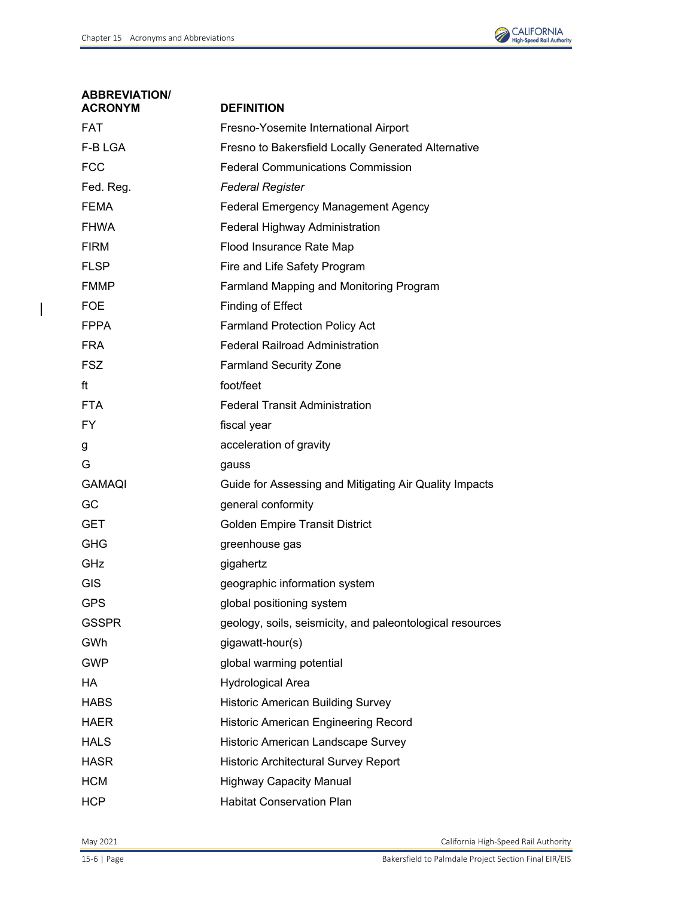

| <b>ABBREVIATION/</b><br><b>ACRONYM</b> | <b>DEFINITION</b>                                         |
|----------------------------------------|-----------------------------------------------------------|
| <b>FAT</b>                             | Fresno-Yosemite International Airport                     |
| F-B LGA                                | Fresno to Bakersfield Locally Generated Alternative       |
| <b>FCC</b>                             | <b>Federal Communications Commission</b>                  |
| Fed. Reg.                              | <b>Federal Register</b>                                   |
| <b>FEMA</b>                            | <b>Federal Emergency Management Agency</b>                |
| <b>FHWA</b>                            | <b>Federal Highway Administration</b>                     |
| <b>FIRM</b>                            | Flood Insurance Rate Map                                  |
| <b>FLSP</b>                            | Fire and Life Safety Program                              |
| <b>FMMP</b>                            | Farmland Mapping and Monitoring Program                   |
| <b>FOE</b>                             | Finding of Effect                                         |
| <b>FPPA</b>                            | <b>Farmland Protection Policy Act</b>                     |
| <b>FRA</b>                             | <b>Federal Railroad Administration</b>                    |
| <b>FSZ</b>                             | <b>Farmland Security Zone</b>                             |
| ft                                     | foot/feet                                                 |
| <b>FTA</b>                             | <b>Federal Transit Administration</b>                     |
| FY.                                    | fiscal year                                               |
| g                                      | acceleration of gravity                                   |
| G                                      | gauss                                                     |
| <b>GAMAQI</b>                          | Guide for Assessing and Mitigating Air Quality Impacts    |
| GC                                     | general conformity                                        |
| <b>GET</b>                             | <b>Golden Empire Transit District</b>                     |
| <b>GHG</b>                             | greenhouse gas                                            |
| GHz                                    | gigahertz                                                 |
| <b>GIS</b>                             | geographic information system                             |
| <b>GPS</b>                             | global positioning system                                 |
| <b>GSSPR</b>                           | geology, soils, seismicity, and paleontological resources |
| GWh                                    | gigawatt-hour(s)                                          |
| <b>GWP</b>                             | global warming potential                                  |
| HA                                     | <b>Hydrological Area</b>                                  |
| <b>HABS</b>                            | <b>Historic American Building Survey</b>                  |
| <b>HAER</b>                            | <b>Historic American Engineering Record</b>               |
| <b>HALS</b>                            | Historic American Landscape Survey                        |
| <b>HASR</b>                            | Historic Architectural Survey Report                      |
| <b>HCM</b>                             | <b>Highway Capacity Manual</b>                            |
| <b>HCP</b>                             | <b>Habitat Conservation Plan</b>                          |

 $\overline{\mathbf{I}}$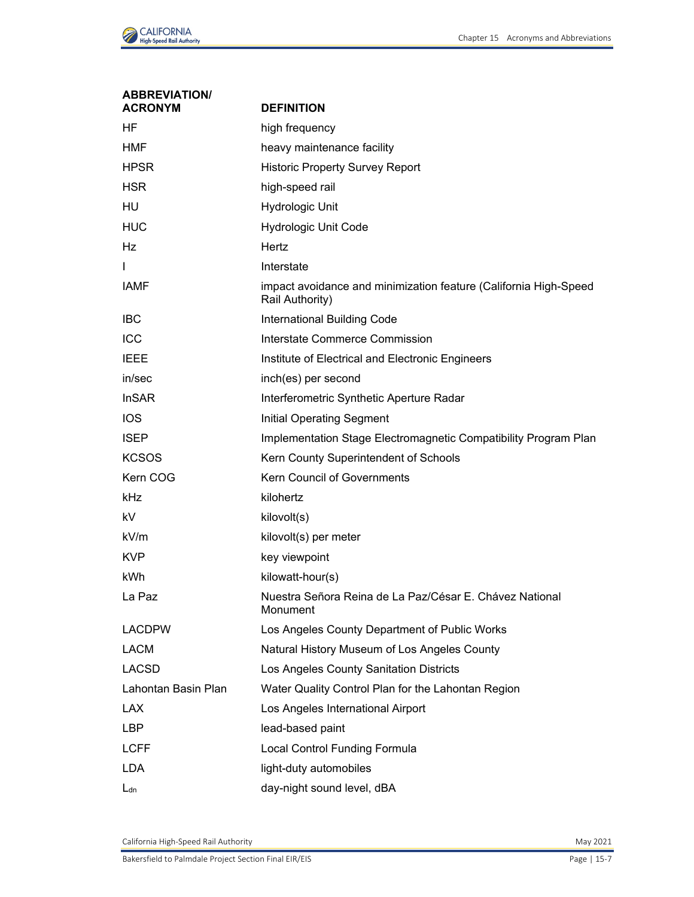

| <b>ABBREVIATION/</b><br><b>ACRONYM</b> | <b>DEFINITION</b>                                                                   |
|----------------------------------------|-------------------------------------------------------------------------------------|
| HF                                     | high frequency                                                                      |
| <b>HMF</b>                             | heavy maintenance facility                                                          |
| <b>HPSR</b>                            | <b>Historic Property Survey Report</b>                                              |
| <b>HSR</b>                             | high-speed rail                                                                     |
| HU                                     | Hydrologic Unit                                                                     |
| <b>HUC</b>                             | <b>Hydrologic Unit Code</b>                                                         |
| Hz                                     | Hertz                                                                               |
| T                                      | Interstate                                                                          |
| <b>IAMF</b>                            | impact avoidance and minimization feature (California High-Speed<br>Rail Authority) |
| <b>IBC</b>                             | International Building Code                                                         |
| ICC                                    | Interstate Commerce Commission                                                      |
| <b>IEEE</b>                            | Institute of Electrical and Electronic Engineers                                    |
| in/sec                                 | inch(es) per second                                                                 |
| <b>InSAR</b>                           | Interferometric Synthetic Aperture Radar                                            |
| <b>IOS</b>                             | <b>Initial Operating Segment</b>                                                    |
| <b>ISEP</b>                            | Implementation Stage Electromagnetic Compatibility Program Plan                     |
| <b>KCSOS</b>                           | Kern County Superintendent of Schools                                               |
| Kern COG                               | <b>Kern Council of Governments</b>                                                  |
| kHz                                    | kilohertz                                                                           |
| kV                                     | kilovolt(s)                                                                         |
| kV/m                                   | kilovolt(s) per meter                                                               |
| <b>KVP</b>                             | key viewpoint                                                                       |
| kWh                                    | kilowatt-hour(s)                                                                    |
| La Paz                                 | Nuestra Señora Reina de La Paz/César E. Chávez National<br>Monument                 |
| <b>LACDPW</b>                          | Los Angeles County Department of Public Works                                       |
| <b>LACM</b>                            | Natural History Museum of Los Angeles County                                        |
| <b>LACSD</b>                           | Los Angeles County Sanitation Districts                                             |
| Lahontan Basin Plan                    | Water Quality Control Plan for the Lahontan Region                                  |
| <b>LAX</b>                             | Los Angeles International Airport                                                   |
| LBP                                    | lead-based paint                                                                    |
| <b>LCFF</b>                            | Local Control Funding Formula                                                       |
| <b>LDA</b>                             | light-duty automobiles                                                              |
| $L_{dn}$                               | day-night sound level, dBA                                                          |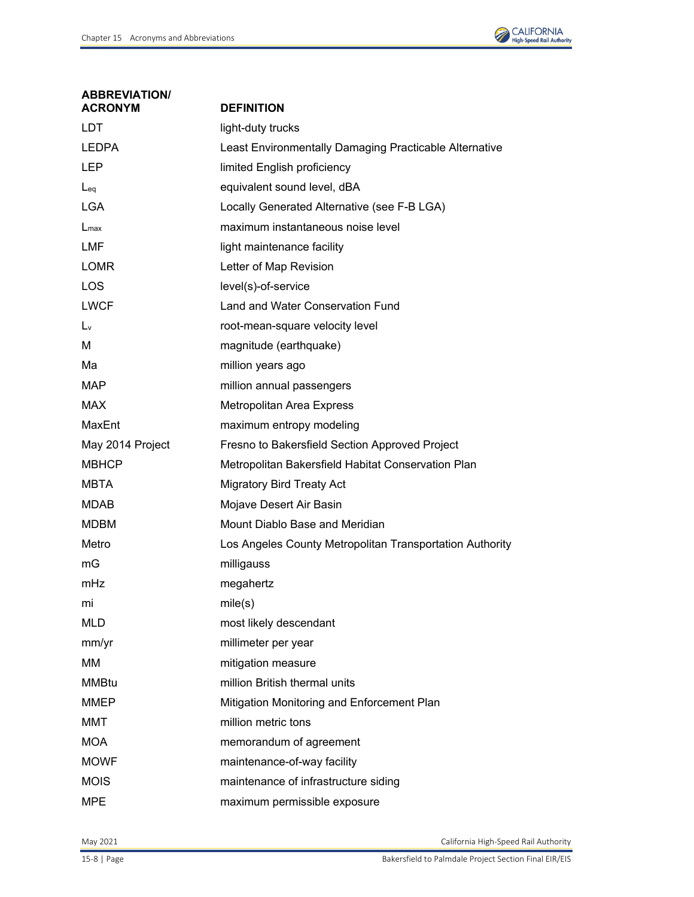

| <b>ABBREVIATION/</b><br><b>ACRONYM</b> | <b>DEFINITION</b>                                        |
|----------------------------------------|----------------------------------------------------------|
| <b>LDT</b>                             | light-duty trucks                                        |
| <b>LEDPA</b>                           | Least Environmentally Damaging Practicable Alternative   |
| LEP                                    | limited English proficiency                              |
| $L_{eq}$                               | equivalent sound level, dBA                              |
| <b>LGA</b>                             | Locally Generated Alternative (see F-B LGA)              |
| $L_{\text{max}}$                       | maximum instantaneous noise level                        |
| LMF                                    | light maintenance facility                               |
| <b>LOMR</b>                            | Letter of Map Revision                                   |
| LOS                                    | level(s)-of-service                                      |
| <b>LWCF</b>                            | Land and Water Conservation Fund                         |
| $L_v$                                  | root-mean-square velocity level                          |
| М                                      | magnitude (earthquake)                                   |
| Ма                                     | million years ago                                        |
| <b>MAP</b>                             | million annual passengers                                |
| <b>MAX</b>                             | Metropolitan Area Express                                |
| MaxEnt                                 | maximum entropy modeling                                 |
| May 2014 Project                       | Fresno to Bakersfield Section Approved Project           |
| <b>MBHCP</b>                           | Metropolitan Bakersfield Habitat Conservation Plan       |
| MBTA                                   | <b>Migratory Bird Treaty Act</b>                         |
| <b>MDAB</b>                            | Mojave Desert Air Basin                                  |
| <b>MDBM</b>                            | Mount Diablo Base and Meridian                           |
| Metro                                  | Los Angeles County Metropolitan Transportation Authority |
| mG                                     | milligauss                                               |
| mHz                                    | megahertz                                                |
| mi                                     | mile(s)                                                  |
| <b>MLD</b>                             | most likely descendant                                   |
| mm/yr                                  | millimeter per year                                      |
| МM                                     | mitigation measure                                       |
| <b>MMBtu</b>                           | million British thermal units                            |
| <b>MMEP</b>                            | Mitigation Monitoring and Enforcement Plan               |
| MMT                                    | million metric tons                                      |
| <b>MOA</b>                             | memorandum of agreement                                  |
| <b>MOWF</b>                            | maintenance-of-way facility                              |
| <b>MOIS</b>                            | maintenance of infrastructure siding                     |
| <b>MPE</b>                             | maximum permissible exposure                             |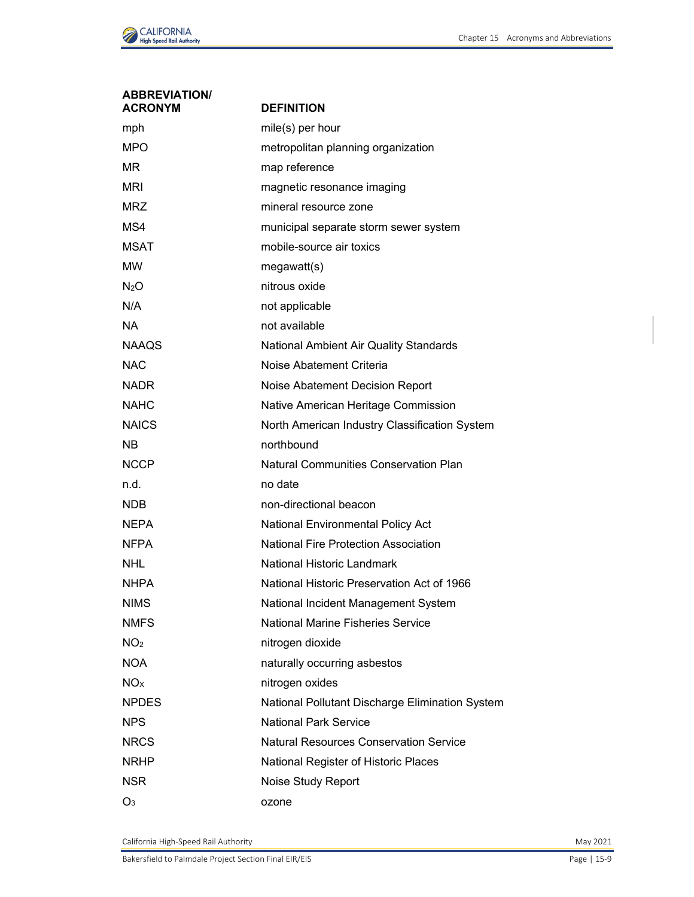

| <b>ABBREVIATION/</b><br><b>ACRONYM</b> | <b>DEFINITION</b>                               |
|----------------------------------------|-------------------------------------------------|
| mph                                    | mile(s) per hour                                |
| <b>MPO</b>                             | metropolitan planning organization              |
| MR.                                    | map reference                                   |
| MRI                                    | magnetic resonance imaging                      |
| <b>MRZ</b>                             | mineral resource zone                           |
| MS4                                    | municipal separate storm sewer system           |
| <b>MSAT</b>                            | mobile-source air toxics                        |
| МW                                     | megawatt(s)                                     |
| N <sub>2</sub> O                       | nitrous oxide                                   |
| N/A                                    | not applicable                                  |
| <b>NA</b>                              | not available                                   |
| <b>NAAQS</b>                           | National Ambient Air Quality Standards          |
| NAC                                    | Noise Abatement Criteria                        |
| <b>NADR</b>                            | Noise Abatement Decision Report                 |
| NAHC                                   | Native American Heritage Commission             |
| <b>NAICS</b>                           | North American Industry Classification System   |
| NB.                                    | northbound                                      |
| <b>NCCP</b>                            | <b>Natural Communities Conservation Plan</b>    |
| n.d.                                   | no date                                         |
| <b>NDB</b>                             | non-directional beacon                          |
| NEPA                                   | <b>National Environmental Policy Act</b>        |
| NFPA                                   | <b>National Fire Protection Association</b>     |
| NHL                                    | National Historic Landmark                      |
| <b>NHPA</b>                            | National Historic Preservation Act of 1966      |
| <b>NIMS</b>                            | National Incident Management System             |
| <b>NMFS</b>                            | <b>National Marine Fisheries Service</b>        |
| NO <sub>2</sub>                        | nitrogen dioxide                                |
| <b>NOA</b>                             | naturally occurring asbestos                    |
| <b>NO<sub>x</sub></b>                  | nitrogen oxides                                 |
| <b>NPDES</b>                           | National Pollutant Discharge Elimination System |
| <b>NPS</b>                             | <b>National Park Service</b>                    |
| <b>NRCS</b>                            | <b>Natural Resources Conservation Service</b>   |
| <b>NRHP</b>                            | National Register of Historic Places            |
| NSR                                    | Noise Study Report                              |
| $O_3$                                  | ozone                                           |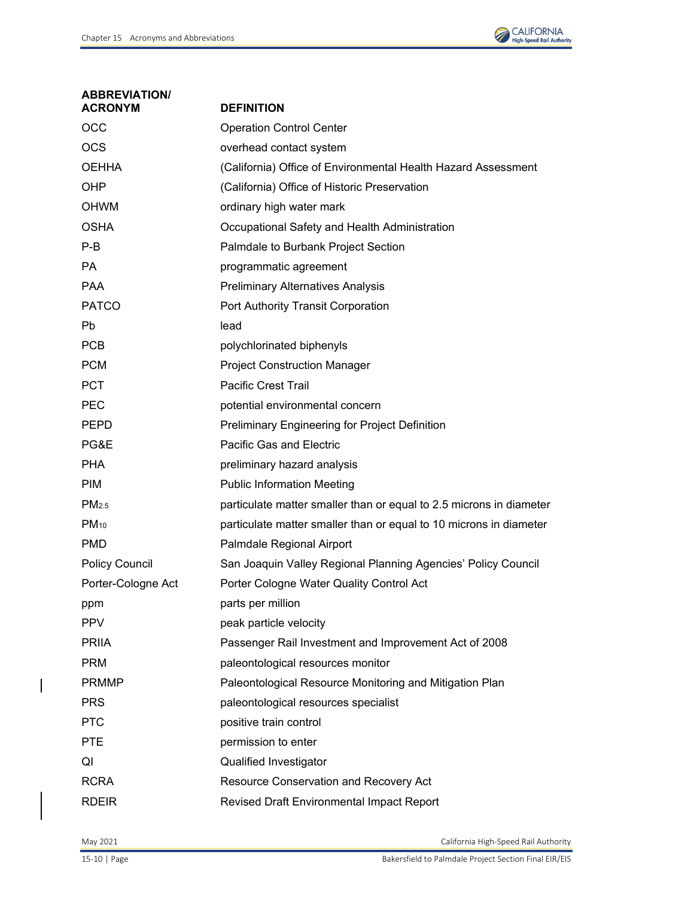

| <b>ABBREVIATION/</b><br><b>ACRONYM</b> | <b>DEFINITION</b>                                                   |
|----------------------------------------|---------------------------------------------------------------------|
| <b>OCC</b>                             | <b>Operation Control Center</b>                                     |
| <b>OCS</b>                             | overhead contact system                                             |
| <b>OEHHA</b>                           | (California) Office of Environmental Health Hazard Assessment       |
| <b>OHP</b>                             | (California) Office of Historic Preservation                        |
| <b>OHWM</b>                            | ordinary high water mark                                            |
| <b>OSHA</b>                            | Occupational Safety and Health Administration                       |
| $P-B$                                  | Palmdale to Burbank Project Section                                 |
| <b>PA</b>                              | programmatic agreement                                              |
| <b>PAA</b>                             | <b>Preliminary Alternatives Analysis</b>                            |
| <b>PATCO</b>                           | Port Authority Transit Corporation                                  |
| <b>Pb</b>                              | lead                                                                |
| PCB                                    | polychlorinated biphenyls                                           |
| <b>PCM</b>                             | <b>Project Construction Manager</b>                                 |
| <b>PCT</b>                             | <b>Pacific Crest Trail</b>                                          |
| <b>PEC</b>                             | potential environmental concern                                     |
| <b>PEPD</b>                            | Preliminary Engineering for Project Definition                      |
| PG&E                                   | Pacific Gas and Electric                                            |
| <b>PHA</b>                             | preliminary hazard analysis                                         |
| <b>PIM</b>                             | <b>Public Information Meeting</b>                                   |
| PM <sub>2.5</sub>                      | particulate matter smaller than or equal to 2.5 microns in diameter |
| $PM_{10}$                              | particulate matter smaller than or equal to 10 microns in diameter  |
| <b>PMD</b>                             | Palmdale Regional Airport                                           |
| <b>Policy Council</b>                  | San Joaquin Valley Regional Planning Agencies' Policy Council       |
| Porter-Cologne Act                     | Porter Cologne Water Quality Control Act                            |
| ppm                                    | parts per million                                                   |
| <b>PPV</b>                             | peak particle velocity                                              |
| <b>PRIIA</b>                           | Passenger Rail Investment and Improvement Act of 2008               |
| <b>PRM</b>                             | paleontological resources monitor                                   |
| <b>PRMMP</b>                           | Paleontological Resource Monitoring and Mitigation Plan             |
| <b>PRS</b>                             | paleontological resources specialist                                |
| <b>PTC</b>                             | positive train control                                              |
| <b>PTE</b>                             | permission to enter                                                 |
| QI                                     | Qualified Investigator                                              |
| <b>RCRA</b>                            | Resource Conservation and Recovery Act                              |
| <b>RDEIR</b>                           | Revised Draft Environmental Impact Report                           |

 $\overline{\phantom{a}}$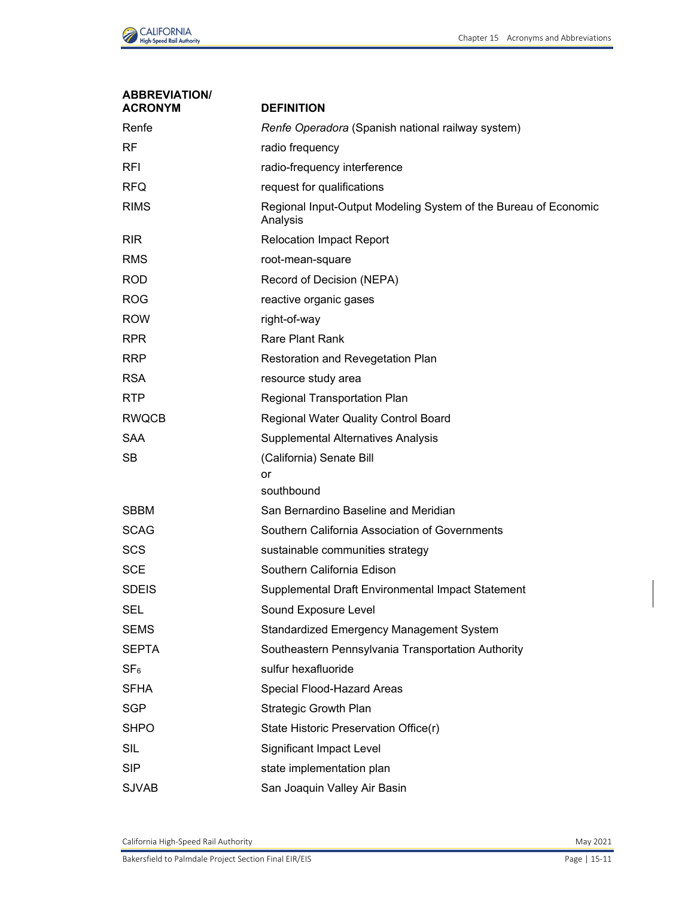

| <b>ABBREVIATION/</b><br><b>ACRONYM</b> | <b>DEFINITION</b>                                                           |
|----------------------------------------|-----------------------------------------------------------------------------|
| Renfe                                  | Renfe Operadora (Spanish national railway system)                           |
| RF.                                    | radio frequency                                                             |
| <b>RFI</b>                             | radio-frequency interference                                                |
| <b>RFQ</b>                             | request for qualifications                                                  |
| <b>RIMS</b>                            | Regional Input-Output Modeling System of the Bureau of Economic<br>Analysis |
| <b>RIR</b>                             | <b>Relocation Impact Report</b>                                             |
| <b>RMS</b>                             | root-mean-square                                                            |
| <b>ROD</b>                             | Record of Decision (NEPA)                                                   |
| <b>ROG</b>                             | reactive organic gases                                                      |
| <b>ROW</b>                             | right-of-way                                                                |
| <b>RPR</b>                             | <b>Rare Plant Rank</b>                                                      |
| <b>RRP</b>                             | Restoration and Revegetation Plan                                           |
| <b>RSA</b>                             | resource study area                                                         |
| <b>RTP</b>                             | Regional Transportation Plan                                                |
| <b>RWQCB</b>                           | Regional Water Quality Control Board                                        |
| <b>SAA</b>                             | Supplemental Alternatives Analysis                                          |
| <b>SB</b>                              | (California) Senate Bill                                                    |
|                                        | or                                                                          |
|                                        | southbound                                                                  |
| <b>SBBM</b>                            | San Bernardino Baseline and Meridian                                        |
| <b>SCAG</b>                            | Southern California Association of Governments                              |
| <b>SCS</b>                             | sustainable communities strategy                                            |
| <b>SCE</b>                             | Southern California Edison                                                  |
| <b>SDEIS</b>                           | Supplemental Draft Environmental Impact Statement                           |
| <b>SEL</b>                             | Sound Exposure Level                                                        |
| <b>SEMS</b>                            | Standardized Emergency Management System                                    |
| <b>SEPTA</b>                           | Southeastern Pennsylvania Transportation Authority                          |
| SF <sub>6</sub>                        | sulfur hexafluoride                                                         |
| <b>SFHA</b>                            | Special Flood-Hazard Areas                                                  |
| <b>SGP</b>                             | <b>Strategic Growth Plan</b>                                                |
| <b>SHPO</b>                            | State Historic Preservation Office(r)                                       |
| <b>SIL</b>                             | Significant Impact Level                                                    |
| <b>SIP</b>                             | state implementation plan                                                   |
| <b>SJVAB</b>                           | San Joaquin Valley Air Basin                                                |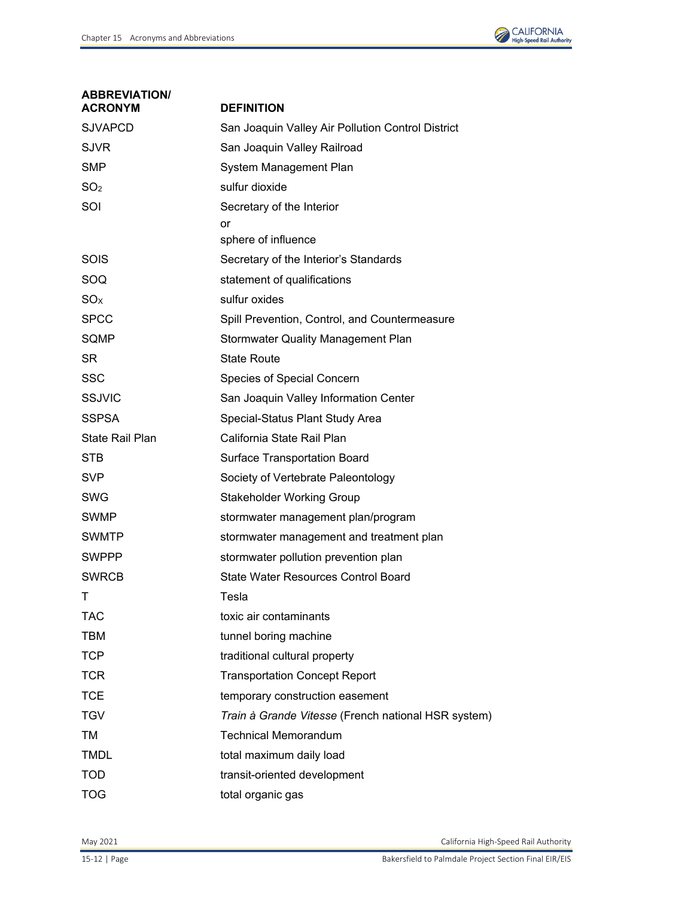

| <b>ABBREVIATION/</b><br>ACRONYM | <b>DEFINITION</b>                                   |
|---------------------------------|-----------------------------------------------------|
| <b>SJVAPCD</b>                  | San Joaquin Valley Air Pollution Control District   |
| <b>SJVR</b>                     | San Joaquin Valley Railroad                         |
| <b>SMP</b>                      | System Management Plan                              |
| SO <sub>2</sub>                 | sulfur dioxide                                      |
| SOI                             | Secretary of the Interior                           |
|                                 | or                                                  |
|                                 | sphere of influence                                 |
| SOIS                            | Secretary of the Interior's Standards               |
| SOQ                             | statement of qualifications                         |
| SO <sub>X</sub>                 | sulfur oxides                                       |
| <b>SPCC</b>                     | Spill Prevention, Control, and Countermeasure       |
| SQMP                            | <b>Stormwater Quality Management Plan</b>           |
| <b>SR</b>                       | <b>State Route</b>                                  |
| <b>SSC</b>                      | Species of Special Concern                          |
| <b>SSJVIC</b>                   | San Joaquin Valley Information Center               |
| <b>SSPSA</b>                    | Special-Status Plant Study Area                     |
| <b>State Rail Plan</b>          | California State Rail Plan                          |
| <b>STB</b>                      | <b>Surface Transportation Board</b>                 |
| <b>SVP</b>                      | Society of Vertebrate Paleontology                  |
| <b>SWG</b>                      | <b>Stakeholder Working Group</b>                    |
| <b>SWMP</b>                     | stormwater management plan/program                  |
| <b>SWMTP</b>                    | stormwater management and treatment plan            |
| <b>SWPPP</b>                    | stormwater pollution prevention plan                |
| <b>SWRCB</b>                    | <b>State Water Resources Control Board</b>          |
|                                 | Tesla                                               |
| <b>TAC</b>                      | toxic air contaminants                              |
| <b>TBM</b>                      | tunnel boring machine                               |
| <b>TCP</b>                      | traditional cultural property                       |
| <b>TCR</b>                      | <b>Transportation Concept Report</b>                |
| <b>TCE</b>                      | temporary construction easement                     |
| <b>TGV</b>                      | Train à Grande Vitesse (French national HSR system) |
| TM                              | <b>Technical Memorandum</b>                         |
| <b>TMDL</b>                     | total maximum daily load                            |
| <b>TOD</b>                      | transit-oriented development                        |
| <b>TOG</b>                      | total organic gas                                   |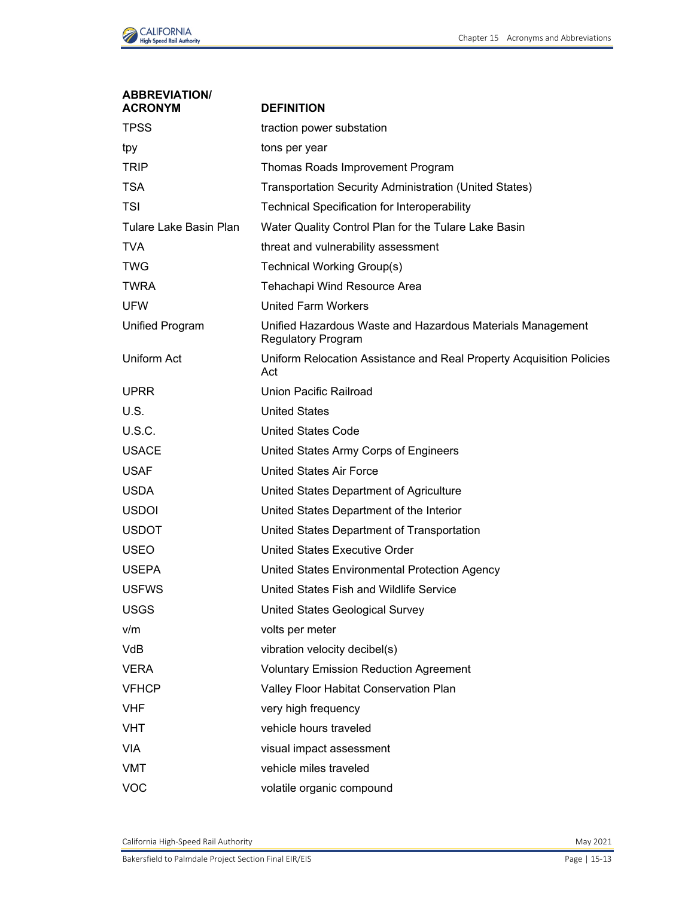

| <b>ABBREVIATION/</b><br><b>ACRONYM</b> | <b>DEFINITION</b>                                                                       |
|----------------------------------------|-----------------------------------------------------------------------------------------|
| <b>TPSS</b>                            | traction power substation                                                               |
| tpy                                    | tons per year                                                                           |
| <b>TRIP</b>                            | Thomas Roads Improvement Program                                                        |
| <b>TSA</b>                             | Transportation Security Administration (United States)                                  |
| <b>TSI</b>                             | <b>Technical Specification for Interoperability</b>                                     |
| Tulare Lake Basin Plan                 | Water Quality Control Plan for the Tulare Lake Basin                                    |
| <b>TVA</b>                             | threat and vulnerability assessment                                                     |
| <b>TWG</b>                             | Technical Working Group(s)                                                              |
| <b>TWRA</b>                            | Tehachapi Wind Resource Area                                                            |
| <b>UFW</b>                             | <b>United Farm Workers</b>                                                              |
| <b>Unified Program</b>                 | Unified Hazardous Waste and Hazardous Materials Management<br><b>Regulatory Program</b> |
| Uniform Act                            | Uniform Relocation Assistance and Real Property Acquisition Policies<br>Act             |
| <b>UPRR</b>                            | Union Pacific Railroad                                                                  |
| U.S.                                   | <b>United States</b>                                                                    |
| <b>U.S.C.</b>                          | <b>United States Code</b>                                                               |
| <b>USACE</b>                           | United States Army Corps of Engineers                                                   |
| <b>USAF</b>                            | <b>United States Air Force</b>                                                          |
| <b>USDA</b>                            | United States Department of Agriculture                                                 |
| <b>USDOI</b>                           | United States Department of the Interior                                                |
| <b>USDOT</b>                           | United States Department of Transportation                                              |
| <b>USEO</b>                            | <b>United States Executive Order</b>                                                    |
| <b>USEPA</b>                           | United States Environmental Protection Agency                                           |
| <b>USFWS</b>                           | United States Fish and Wildlife Service                                                 |
| <b>USGS</b>                            | United States Geological Survey                                                         |
| v/m                                    | volts per meter                                                                         |
| <b>VdB</b>                             | vibration velocity decibel(s)                                                           |
| <b>VERA</b>                            | <b>Voluntary Emission Reduction Agreement</b>                                           |
| <b>VFHCP</b>                           | Valley Floor Habitat Conservation Plan                                                  |
| <b>VHF</b>                             | very high frequency                                                                     |
| <b>VHT</b>                             | vehicle hours traveled                                                                  |
| <b>VIA</b>                             | visual impact assessment                                                                |
| <b>VMT</b>                             | vehicle miles traveled                                                                  |
| <b>VOC</b>                             | volatile organic compound                                                               |